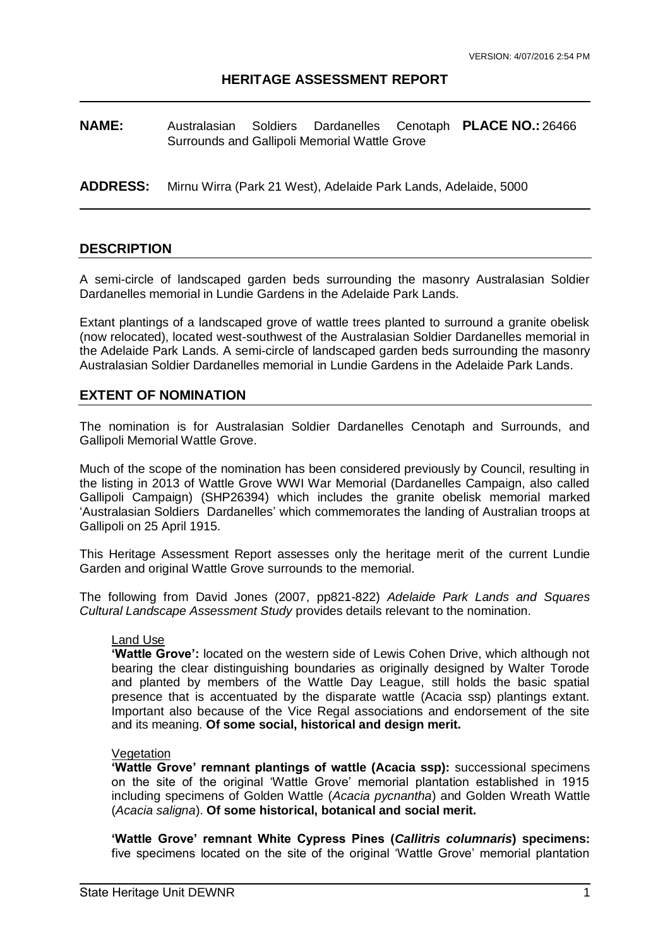#### **HERITAGE ASSESSMENT REPORT**

**NAME:** Australasian Soldiers Dardanelles Surrounds and Gallipoli Memorial Wattle Grove **PLACE NO.:** 26466

**ADDRESS:** Mirnu Wirra (Park 21 West), Adelaide Park Lands, Adelaide, 5000

#### **DESCRIPTION**

A semi-circle of landscaped garden beds surrounding the masonry Australasian Soldier Dardanelles memorial in Lundie Gardens in the Adelaide Park Lands.

Extant plantings of a landscaped grove of wattle trees planted to surround a granite obelisk (now relocated), located west-southwest of the Australasian Soldier Dardanelles memorial in the Adelaide Park Lands. A semi-circle of landscaped garden beds surrounding the masonry Australasian Soldier Dardanelles memorial in Lundie Gardens in the Adelaide Park Lands.

#### **EXTENT OF NOMINATION**

The nomination is for Australasian Soldier Dardanelles Cenotaph and Surrounds, and Gallipoli Memorial Wattle Grove.

Much of the scope of the nomination has been considered previously by Council, resulting in the listing in 2013 of Wattle Grove WWI War Memorial (Dardanelles Campaign, also called Gallipoli Campaign) (SHP26394) which includes the granite obelisk memorial marked 'Australasian Soldiers Dardanelles' which commemorates the landing of Australian troops at Gallipoli on 25 April 1915.

This Heritage Assessment Report assesses only the heritage merit of the current Lundie Garden and original Wattle Grove surrounds to the memorial.

The following from David Jones (2007, pp821-822) *Adelaide Park Lands and Squares Cultural Landscape Assessment Study* provides details relevant to the nomination.

#### Land Use

**'Wattle Grove':** located on the western side of Lewis Cohen Drive, which although not bearing the clear distinguishing boundaries as originally designed by Walter Torode and planted by members of the Wattle Day League, still holds the basic spatial presence that is accentuated by the disparate wattle (Acacia ssp) plantings extant. Important also because of the Vice Regal associations and endorsement of the site and its meaning. **Of some social, historical and design merit.** 

#### Vegetation

**'Wattle Grove' remnant plantings of wattle (Acacia ssp):** successional specimens on the site of the original 'Wattle Grove' memorial plantation established in 1915 including specimens of Golden Wattle (*Acacia pycnantha*) and Golden Wreath Wattle (*Acacia saligna*). **Of some historical, botanical and social merit.**

**'Wattle Grove' remnant White Cypress Pines (***Callitris columnaris***) specimens:**  five specimens located on the site of the original 'Wattle Grove' memorial plantation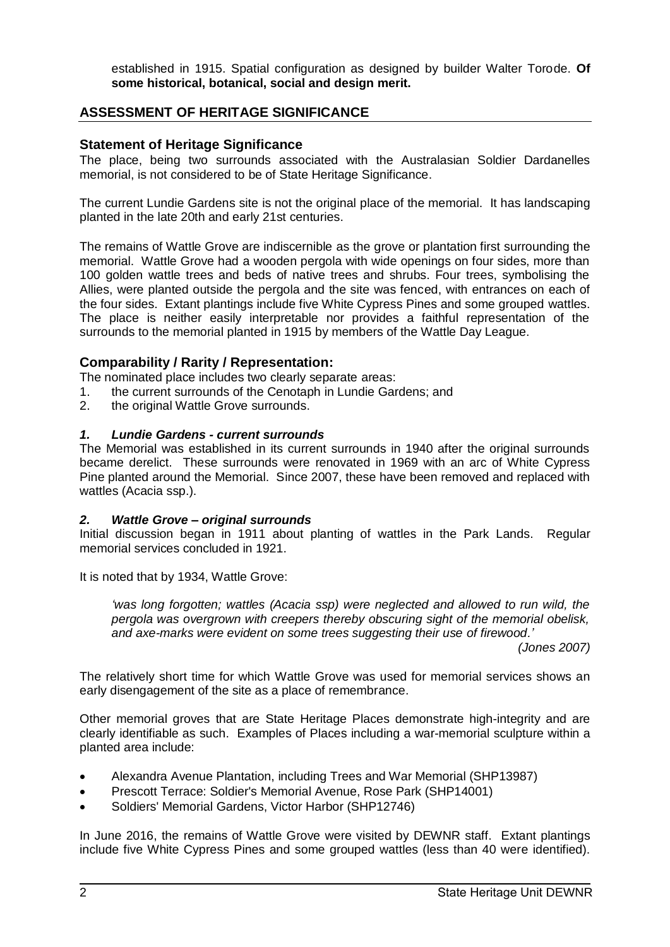established in 1915. Spatial configuration as designed by builder Walter Torode. **Of some historical, botanical, social and design merit.** 

# **ASSESSMENT OF HERITAGE SIGNIFICANCE**

# **Statement of Heritage Significance**

The place, being two surrounds associated with the Australasian Soldier Dardanelles memorial, is not considered to be of State Heritage Significance.

The current Lundie Gardens site is not the original place of the memorial. It has landscaping planted in the late 20th and early 21st centuries.

The remains of Wattle Grove are indiscernible as the grove or plantation first surrounding the memorial. Wattle Grove had a wooden pergola with wide openings on four sides, more than 100 golden wattle trees and beds of native trees and shrubs. Four trees, symbolising the Allies, were planted outside the pergola and the site was fenced, with entrances on each of the four sides. Extant plantings include five White Cypress Pines and some grouped wattles. The place is neither easily interpretable nor provides a faithful representation of the surrounds to the memorial planted in 1915 by members of the Wattle Day League.

# **Comparability / Rarity / Representation:**

The nominated place includes two clearly separate areas:

- 1. the current surrounds of the Cenotaph in Lundie Gardens; and
- 2. the original Wattle Grove surrounds.

# *1. Lundie Gardens - current surrounds*

The Memorial was established in its current surrounds in 1940 after the original surrounds became derelict. These surrounds were renovated in 1969 with an arc of White Cypress Pine planted around the Memorial. Since 2007, these have been removed and replaced with wattles (Acacia ssp.).

### *2. Wattle Grove – original surrounds*

Initial discussion began in 1911 about planting of wattles in the Park Lands. Regular memorial services concluded in 1921.

It is noted that by 1934, Wattle Grove:

*'was long forgotten; wattles (Acacia ssp) were neglected and allowed to run wild, the pergola was overgrown with creepers thereby obscuring sight of the memorial obelisk, and axe-marks were evident on some trees suggesting their use of firewood.'*

*(Jones 2007)* 

The relatively short time for which Wattle Grove was used for memorial services shows an early disengagement of the site as a place of remembrance.

Other memorial groves that are State Heritage Places demonstrate high-integrity and are clearly identifiable as such. Examples of Places including a war-memorial sculpture within a planted area include:

- Alexandra Avenue Plantation, including Trees and War Memorial (SHP13987)
- Prescott Terrace: Soldier's Memorial Avenue, Rose Park (SHP14001)
- Soldiers' Memorial Gardens, Victor Harbor (SHP12746)

In June 2016, the remains of Wattle Grove were visited by DEWNR staff. Extant plantings include five White Cypress Pines and some grouped wattles (less than 40 were identified).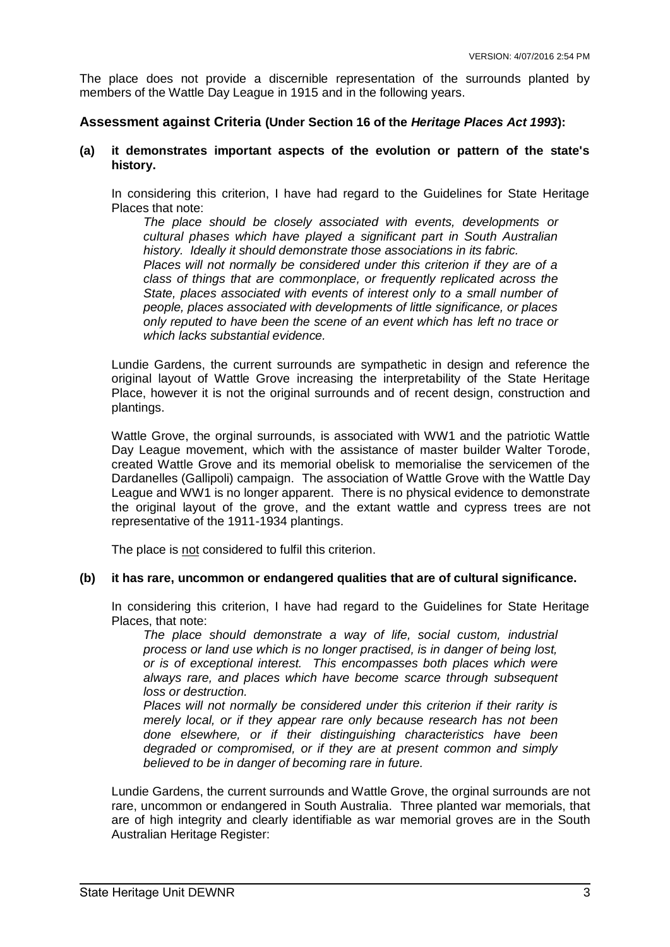The place does not provide a discernible representation of the surrounds planted by members of the Wattle Day League in 1915 and in the following years.

#### **Assessment against Criteria (Under Section 16 of the** *Heritage Places Act 1993***):**

#### **(a) it demonstrates important aspects of the evolution or pattern of the state's history.**

In considering this criterion, I have had regard to the Guidelines for State Heritage Places that note:

*The place should be closely associated with events, developments or cultural phases which have played a significant part in South Australian history. Ideally it should demonstrate those associations in its fabric. Places will not normally be considered under this criterion if they are of a class of things that are commonplace, or frequently replicated across the State, places associated with events of interest only to a small number of people, places associated with developments of little significance, or places only reputed to have been the scene of an event which has left no trace or which lacks substantial evidence.*

Lundie Gardens, the current surrounds are sympathetic in design and reference the original layout of Wattle Grove increasing the interpretability of the State Heritage Place, however it is not the original surrounds and of recent design, construction and plantings.

Wattle Grove, the orginal surrounds, is associated with WW1 and the patriotic Wattle Day League movement, which with the assistance of master builder Walter Torode, created Wattle Grove and its memorial obelisk to memorialise the servicemen of the Dardanelles (Gallipoli) campaign. The association of Wattle Grove with the Wattle Day League and WW1 is no longer apparent. There is no physical evidence to demonstrate the original layout of the grove, and the extant wattle and cypress trees are not representative of the 1911-1934 plantings.

The place is not considered to fulfil this criterion.

#### **(b) it has rare, uncommon or endangered qualities that are of cultural significance.**

In considering this criterion, I have had regard to the Guidelines for State Heritage Places, that note:

*The place should demonstrate a way of life, social custom, industrial process or land use which is no longer practised, is in danger of being lost, or is of exceptional interest. This encompasses both places which were always rare, and places which have become scarce through subsequent loss or destruction.* 

*Places will not normally be considered under this criterion if their rarity is merely local, or if they appear rare only because research has not been done elsewhere, or if their distinguishing characteristics have been degraded or compromised, or if they are at present common and simply believed to be in danger of becoming rare in future.* 

Lundie Gardens, the current surrounds and Wattle Grove, the orginal surrounds are not rare, uncommon or endangered in South Australia. Three planted war memorials, that are of high integrity and clearly identifiable as war memorial groves are in the South Australian Heritage Register: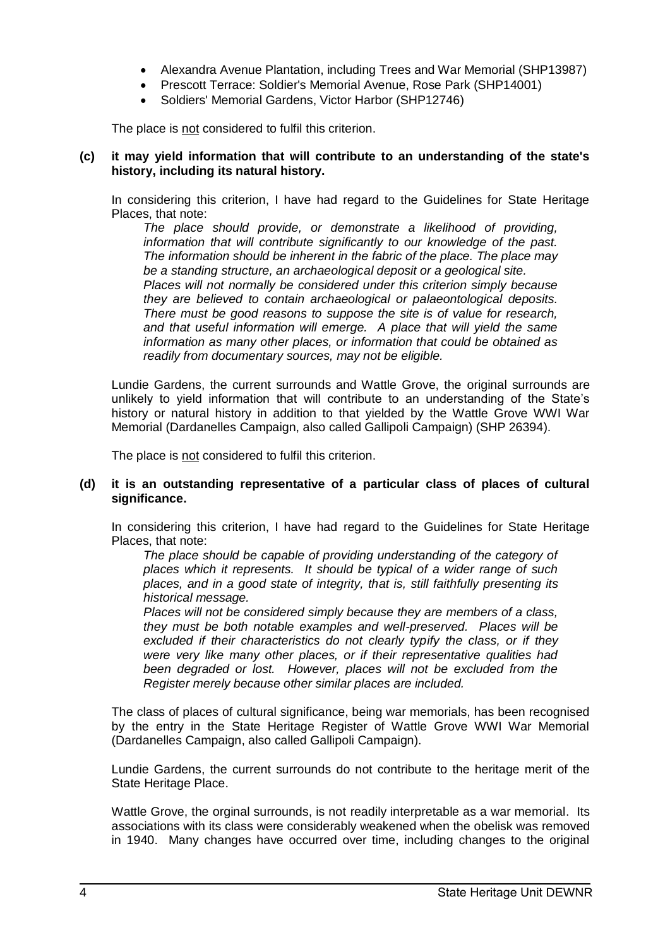- Alexandra Avenue Plantation, including Trees and War Memorial (SHP13987)
- Prescott Terrace: Soldier's Memorial Avenue, Rose Park (SHP14001)
- Soldiers' Memorial Gardens, Victor Harbor (SHP12746)

The place is not considered to fulfil this criterion.

#### **(c) it may yield information that will contribute to an understanding of the state's history, including its natural history.**

In considering this criterion, I have had regard to the Guidelines for State Heritage Places, that note:

*The place should provide, or demonstrate a likelihood of providing, information that will contribute significantly to our knowledge of the past. The information should be inherent in the fabric of the place. The place may be a standing structure, an archaeological deposit or a geological site. Places will not normally be considered under this criterion simply because they are believed to contain archaeological or palaeontological deposits. There must be good reasons to suppose the site is of value for research, and that useful information will emerge. A place that will yield the same information as many other places, or information that could be obtained as readily from documentary sources, may not be eligible.* 

Lundie Gardens, the current surrounds and Wattle Grove, the original surrounds are unlikely to yield information that will contribute to an understanding of the State's history or natural history in addition to that yielded by the Wattle Grove WWI War Memorial (Dardanelles Campaign, also called Gallipoli Campaign) (SHP 26394).

The place is not considered to fulfil this criterion.

### **(d) it is an outstanding representative of a particular class of places of cultural significance.**

In considering this criterion, I have had regard to the Guidelines for State Heritage Places, that note:

*The place should be capable of providing understanding of the category of places which it represents. It should be typical of a wider range of such places, and in a good state of integrity, that is, still faithfully presenting its historical message.* 

*Places will not be considered simply because they are members of a class, they must be both notable examples and well-preserved. Places will be excluded if their characteristics do not clearly typify the class, or if they were very like many other places, or if their representative qualities had been degraded or lost. However, places will not be excluded from the Register merely because other similar places are included.* 

The class of places of cultural significance, being war memorials, has been recognised by the entry in the State Heritage Register of Wattle Grove WWI War Memorial (Dardanelles Campaign, also called Gallipoli Campaign).

Lundie Gardens, the current surrounds do not contribute to the heritage merit of the State Heritage Place.

Wattle Grove, the orginal surrounds, is not readily interpretable as a war memorial. Its associations with its class were considerably weakened when the obelisk was removed in 1940. Many changes have occurred over time, including changes to the original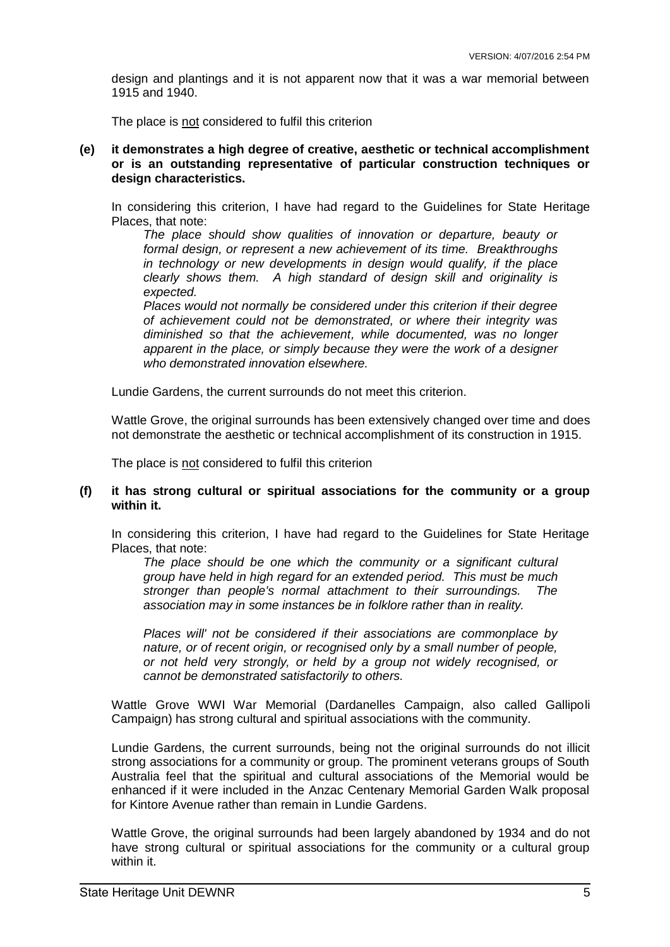design and plantings and it is not apparent now that it was a war memorial between 1915 and 1940.

The place is not considered to fulfil this criterion

**(e) it demonstrates a high degree of creative, aesthetic or technical accomplishment or is an outstanding representative of particular construction techniques or design characteristics.**

In considering this criterion, I have had regard to the Guidelines for State Heritage Places, that note:

*The place should show qualities of innovation or departure, beauty or formal design, or represent a new achievement of its time. Breakthroughs in technology or new developments in design would qualify, if the place clearly shows them. A high standard of design skill and originality is expected.* 

*Places would not normally be considered under this criterion if their degree of achievement could not be demonstrated, or where their integrity was diminished so that the achievement, while documented, was no longer apparent in the place, or simply because they were the work of a designer who demonstrated innovation elsewhere.* 

Lundie Gardens, the current surrounds do not meet this criterion.

Wattle Grove, the original surrounds has been extensively changed over time and does not demonstrate the aesthetic or technical accomplishment of its construction in 1915.

The place is not considered to fulfil this criterion

#### **(f) it has strong cultural or spiritual associations for the community or a group within it.**

In considering this criterion, I have had regard to the Guidelines for State Heritage Places, that note:

*The place should be one which the community or a significant cultural group have held in high regard for an extended period. This must be much stronger than people's normal attachment to their surroundings. The association may in some instances be in folklore rather than in reality.* 

*Places will' not be considered if their associations are commonplace by nature, or of recent origin, or recognised only by a small number of people, or not held very strongly, or held by a group not widely recognised, or cannot be demonstrated satisfactorily to others.* 

Wattle Grove WWI War Memorial (Dardanelles Campaign, also called Gallipoli Campaign) has strong cultural and spiritual associations with the community.

Lundie Gardens, the current surrounds, being not the original surrounds do not illicit strong associations for a community or group. The prominent veterans groups of South Australia feel that the spiritual and cultural associations of the Memorial would be enhanced if it were included in the Anzac Centenary Memorial Garden Walk proposal for Kintore Avenue rather than remain in Lundie Gardens.

Wattle Grove, the original surrounds had been largely abandoned by 1934 and do not have strong cultural or spiritual associations for the community or a cultural group within it.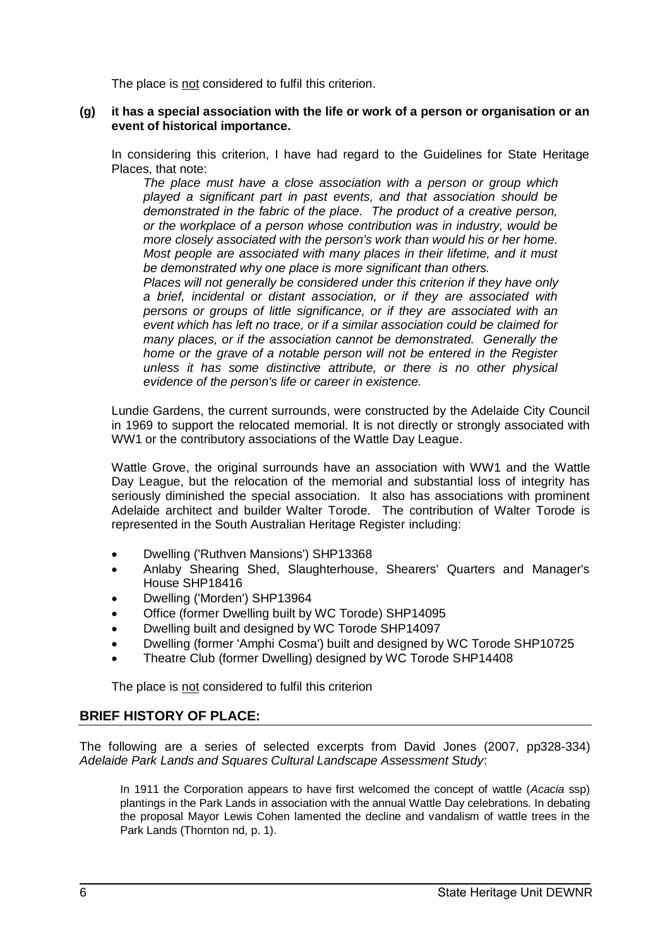The place is not considered to fulfil this criterion.

### **(g) it has a special association with the life or work of a person or organisation or an event of historical importance.**

In considering this criterion, I have had regard to the Guidelines for State Heritage Places, that note:

*The place must have a close association with a person or group which played a significant part in past events, and that association should be demonstrated in the fabric of the place. The product of a creative person, or the workplace of a person whose contribution was in industry, would be more closely associated with the person's work than would his or her home. Most people are associated with many places in their lifetime, and it must be demonstrated why one place is more significant than others.* 

*Places will not generally be considered under this criterion if they have only a brief, incidental or distant association, or if they are associated with persons or groups of little significance, or if they are associated with an event which has left no trace, or if a similar association could be claimed for many places, or if the association cannot be demonstrated. Generally the home or the grave of a notable person will not be entered in the Register unless it has some distinctive attribute, or there is no other physical evidence of the person's life or career in existence.* 

Lundie Gardens, the current surrounds, were constructed by the Adelaide City Council in 1969 to support the relocated memorial. It is not directly or strongly associated with WW1 or the contributory associations of the Wattle Day League.

Wattle Grove, the original surrounds have an association with WW1 and the Wattle Day League, but the relocation of the memorial and substantial loss of integrity has seriously diminished the special association. It also has associations with prominent Adelaide architect and builder Walter Torode. The contribution of Walter Torode is represented in the South Australian Heritage Register including:

- Dwelling ('Ruthven Mansions') SHP13368
- Anlaby Shearing Shed, Slaughterhouse, Shearers' Quarters and Manager's House SHP18416
- Dwelling ('Morden') SHP13964
- Office (former Dwelling built by WC Torode) SHP14095
- Dwelling built and designed by WC Torode SHP14097
- Dwelling (former 'Amphi Cosma') built and designed by WC Torode SHP10725
- Theatre Club (former Dwelling) designed by WC Torode SHP14408

The place is not considered to fulfil this criterion

# **BRIEF HISTORY OF PLACE:**

The following are a series of selected excerpts from David Jones (2007, pp328-334) *Adelaide Park Lands and Squares Cultural Landscape Assessment Study*:

In 1911 the Corporation appears to have first welcomed the concept of wattle (*Acacia* ssp) plantings in the Park Lands in association with the annual Wattle Day celebrations. In debating the proposal Mayor Lewis Cohen lamented the decline and vandalism of wattle trees in the Park Lands (Thornton nd, p. 1).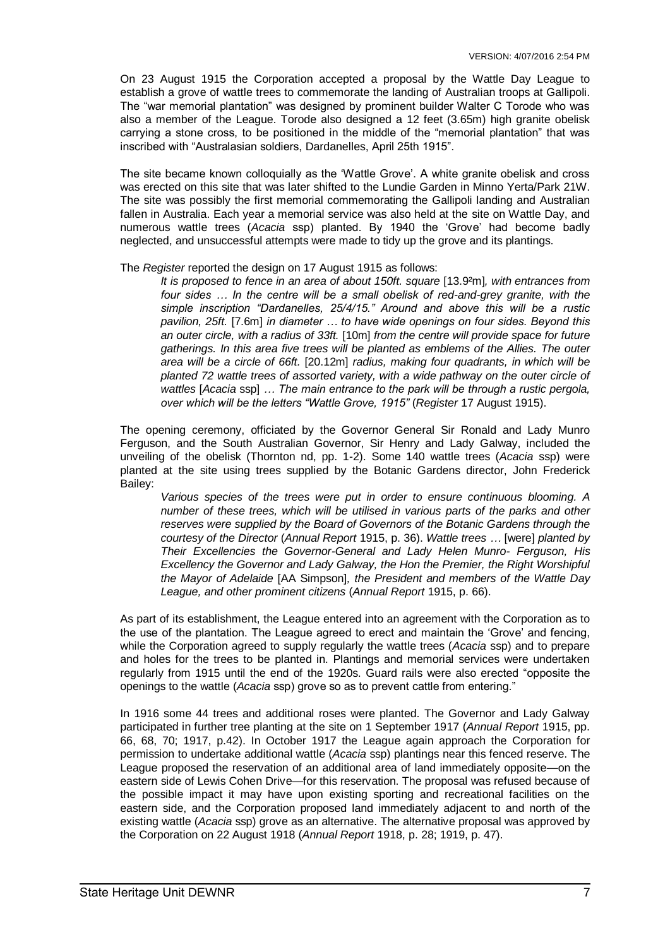On 23 August 1915 the Corporation accepted a proposal by the Wattle Day League to establish a grove of wattle trees to commemorate the landing of Australian troops at Gallipoli. The "war memorial plantation" was designed by prominent builder Walter C Torode who was also a member of the League. Torode also designed a 12 feet (3.65m) high granite obelisk carrying a stone cross, to be positioned in the middle of the "memorial plantation" that was inscribed with "Australasian soldiers, Dardanelles, April 25th 1915".

The site became known colloquially as the 'Wattle Grove'. A white granite obelisk and cross was erected on this site that was later shifted to the Lundie Garden in Minno Yerta/Park 21W. The site was possibly the first memorial commemorating the Gallipoli landing and Australian fallen in Australia. Each year a memorial service was also held at the site on Wattle Day, and numerous wattle trees (*Acacia* ssp) planted. By 1940 the 'Grove' had become badly neglected, and unsuccessful attempts were made to tidy up the grove and its plantings.

#### The *Register* reported the design on 17 August 1915 as follows:

*It is proposed to fence in an area of about 150ft. square* [13.9²m]*, with entrances from*  four sides ... In the centre will be a small obelisk of red-and-grey granite, with the *simple inscription "Dardanelles, 25/4/15." Around and above this will be a rustic pavilion, 25ft.* [7.6m] *in diameter … to have wide openings on four sides. Beyond this an outer circle, with a radius of 33ft.* [10m] *from the centre will provide space for future gatherings. In this area five trees will be planted as emblems of the Allies. The outer area will be a circle of 66ft.* [20.12m] *radius, making four quadrants, in which will be planted 72 wattle trees of assorted variety, with a wide pathway on the outer circle of wattles* [*Acacia* ssp] *… The main entrance to the park will be through a rustic pergola, over which will be the letters "Wattle Grove, 1915"* (*Register* 17 August 1915).

The opening ceremony, officiated by the Governor General Sir Ronald and Lady Munro Ferguson, and the South Australian Governor, Sir Henry and Lady Galway, included the unveiling of the obelisk (Thornton nd, pp. 1-2). Some 140 wattle trees (*Acacia* ssp) were planted at the site using trees supplied by the Botanic Gardens director, John Frederick Bailey:

*Various species of the trees were put in order to ensure continuous blooming. A number of these trees, which will be utilised in various parts of the parks and other reserves were supplied by the Board of Governors of the Botanic Gardens through the courtesy of the Director* (*Annual Report* 1915, p. 36). *Wattle trees …* [were] *planted by Their Excellencies the Governor-General and Lady Helen Munro- Ferguson, His Excellency the Governor and Lady Galway, the Hon the Premier, the Right Worshipful the Mayor of Adelaide* [AA Simpson]*, the President and members of the Wattle Day League, and other prominent citizens* (*Annual Report* 1915, p. 66).

As part of its establishment, the League entered into an agreement with the Corporation as to the use of the plantation. The League agreed to erect and maintain the 'Grove' and fencing, while the Corporation agreed to supply regularly the wattle trees (*Acacia* ssp) and to prepare and holes for the trees to be planted in. Plantings and memorial services were undertaken regularly from 1915 until the end of the 1920s. Guard rails were also erected "opposite the openings to the wattle (*Acacia* ssp) grove so as to prevent cattle from entering."

In 1916 some 44 trees and additional roses were planted. The Governor and Lady Galway participated in further tree planting at the site on 1 September 1917 (*Annual Report* 1915, pp. 66, 68, 70; 1917, p.42). In October 1917 the League again approach the Corporation for permission to undertake additional wattle (*Acacia* ssp) plantings near this fenced reserve. The League proposed the reservation of an additional area of land immediately opposite—on the eastern side of Lewis Cohen Drive—for this reservation. The proposal was refused because of the possible impact it may have upon existing sporting and recreational facilities on the eastern side, and the Corporation proposed land immediately adjacent to and north of the existing wattle (*Acacia* ssp) grove as an alternative. The alternative proposal was approved by the Corporation on 22 August 1918 (*Annual Report* 1918, p. 28; 1919, p. 47).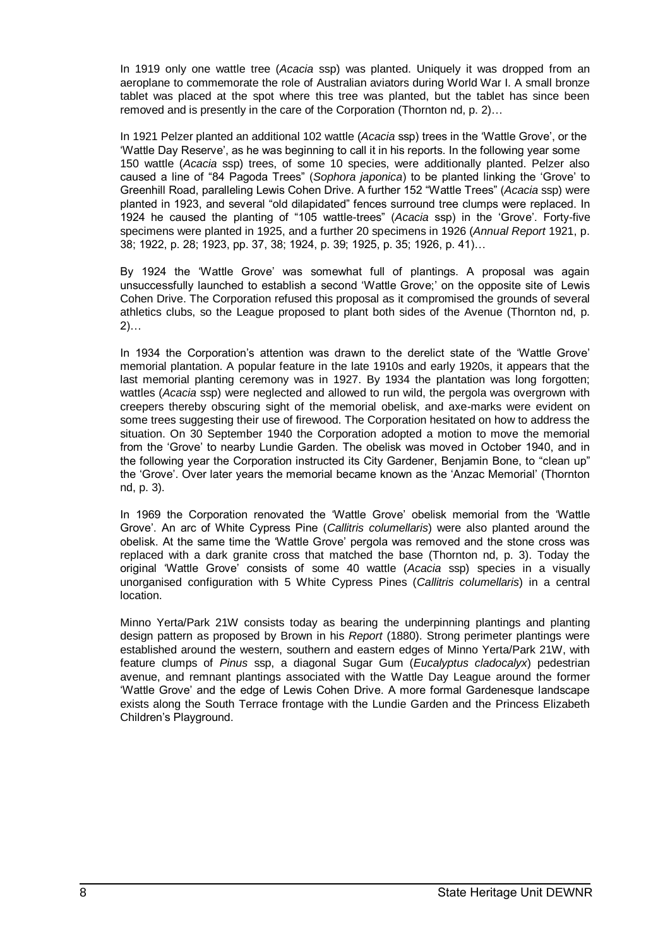In 1919 only one wattle tree (*Acacia* ssp) was planted. Uniquely it was dropped from an aeroplane to commemorate the role of Australian aviators during World War I. A small bronze tablet was placed at the spot where this tree was planted, but the tablet has since been removed and is presently in the care of the Corporation (Thornton nd, p. 2)…

In 1921 Pelzer planted an additional 102 wattle (*Acacia* ssp) trees in the 'Wattle Grove', or the 'Wattle Day Reserve', as he was beginning to call it in his reports. In the following year some 150 wattle (*Acacia* ssp) trees, of some 10 species, were additionally planted. Pelzer also caused a line of "84 Pagoda Trees" (*Sophora japonica*) to be planted linking the 'Grove' to Greenhill Road, paralleling Lewis Cohen Drive. A further 152 "Wattle Trees" (*Acacia* ssp) were planted in 1923, and several "old dilapidated" fences surround tree clumps were replaced. In 1924 he caused the planting of "105 wattle-trees" (*Acacia* ssp) in the 'Grove'. Forty-five specimens were planted in 1925, and a further 20 specimens in 1926 (*Annual Report* 1921, p. 38; 1922, p. 28; 1923, pp. 37, 38; 1924, p. 39; 1925, p. 35; 1926, p. 41)…

By 1924 the 'Wattle Grove' was somewhat full of plantings. A proposal was again unsuccessfully launched to establish a second 'Wattle Grove;' on the opposite site of Lewis Cohen Drive. The Corporation refused this proposal as it compromised the grounds of several athletics clubs, so the League proposed to plant both sides of the Avenue (Thornton nd, p. 2)…

In 1934 the Corporation's attention was drawn to the derelict state of the 'Wattle Grove' memorial plantation. A popular feature in the late 1910s and early 1920s, it appears that the last memorial planting ceremony was in 1927. By 1934 the plantation was long forgotten; wattles (*Acacia* ssp) were neglected and allowed to run wild, the pergola was overgrown with creepers thereby obscuring sight of the memorial obelisk, and axe-marks were evident on some trees suggesting their use of firewood. The Corporation hesitated on how to address the situation. On 30 September 1940 the Corporation adopted a motion to move the memorial from the 'Grove' to nearby Lundie Garden. The obelisk was moved in October 1940, and in the following year the Corporation instructed its City Gardener, Benjamin Bone, to "clean up" the 'Grove'. Over later years the memorial became known as the 'Anzac Memorial' (Thornton nd, p. 3).

In 1969 the Corporation renovated the 'Wattle Grove' obelisk memorial from the 'Wattle Grove'. An arc of White Cypress Pine (*Callitris columellaris*) were also planted around the obelisk. At the same time the 'Wattle Grove' pergola was removed and the stone cross was replaced with a dark granite cross that matched the base (Thornton nd, p. 3). Today the original 'Wattle Grove' consists of some 40 wattle (*Acacia* ssp) species in a visually unorganised configuration with 5 White Cypress Pines (*Callitris columellaris*) in a central location.

Minno Yerta/Park 21W consists today as bearing the underpinning plantings and planting design pattern as proposed by Brown in his *Report* (1880). Strong perimeter plantings were established around the western, southern and eastern edges of Minno Yerta/Park 21W, with feature clumps of *Pinus* ssp, a diagonal Sugar Gum (*Eucalyptus cladocalyx*) pedestrian avenue, and remnant plantings associated with the Wattle Day League around the former 'Wattle Grove' and the edge of Lewis Cohen Drive. A more formal Gardenesque landscape exists along the South Terrace frontage with the Lundie Garden and the Princess Elizabeth Children's Playground.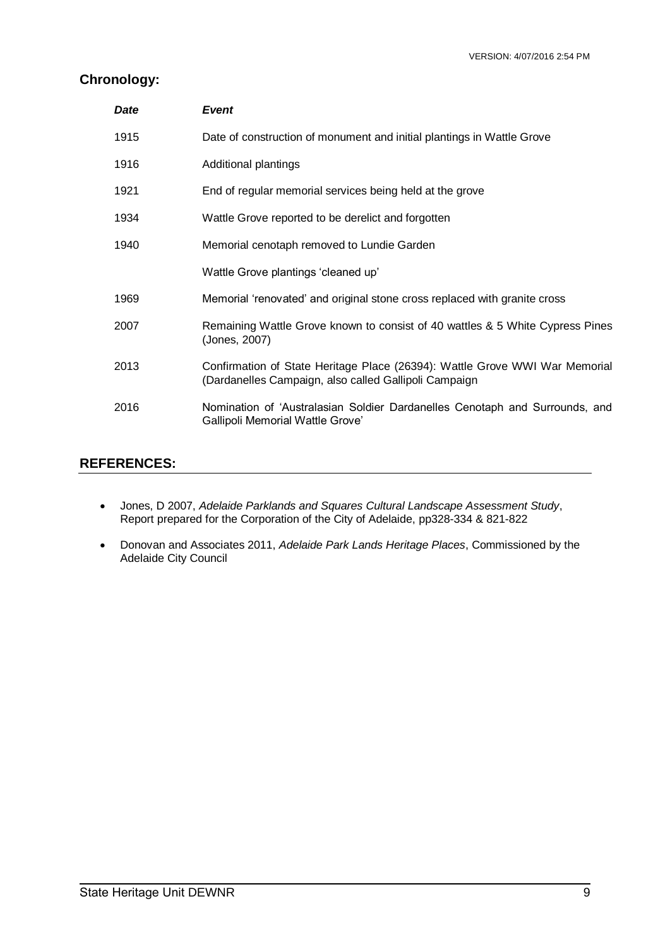# **Chronology:**

| Date | <b>Event</b>                                                                                                                         |  |  |
|------|--------------------------------------------------------------------------------------------------------------------------------------|--|--|
| 1915 | Date of construction of monument and initial plantings in Wattle Grove                                                               |  |  |
| 1916 | Additional plantings                                                                                                                 |  |  |
| 1921 | End of regular memorial services being held at the grove                                                                             |  |  |
| 1934 | Wattle Grove reported to be derelict and forgotten                                                                                   |  |  |
| 1940 | Memorial cenotaph removed to Lundie Garden                                                                                           |  |  |
|      | Wattle Grove plantings 'cleaned up'                                                                                                  |  |  |
| 1969 | Memorial 'renovated' and original stone cross replaced with granite cross                                                            |  |  |
| 2007 | Remaining Wattle Grove known to consist of 40 wattles & 5 White Cypress Pines<br>(Jones, 2007)                                       |  |  |
| 2013 | Confirmation of State Heritage Place (26394): Wattle Grove WWI War Memorial<br>(Dardanelles Campaign, also called Gallipoli Campaign |  |  |
| 2016 | Nomination of 'Australasian Soldier Dardanelles Cenotaph and Surrounds, and<br>Gallipoli Memorial Wattle Grove'                      |  |  |

# **REFERENCES:**

- Jones, D 2007, *Adelaide Parklands and Squares Cultural Landscape Assessment Study*, Report prepared for the Corporation of the City of Adelaide, pp328-334 & 821-822
- Donovan and Associates 2011, *Adelaide Park Lands Heritage Places*, Commissioned by the Adelaide City Council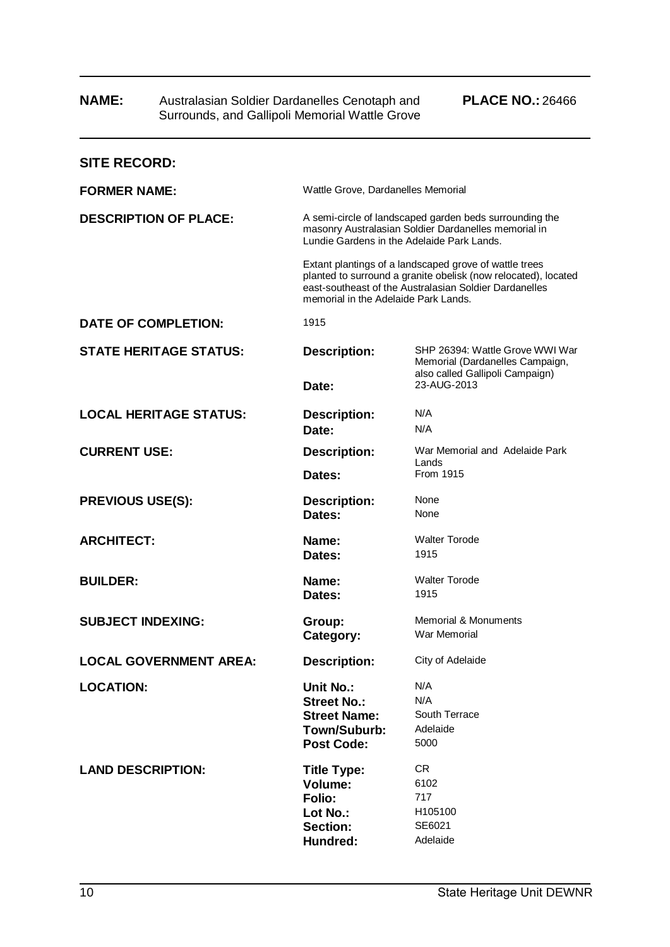| IVAIVIE.                      |  | Australasian Solgier Darganelles Cenolaphi and<br>Surrounds, and Gallipoli Memorial Wattle Grove                                                              | <b>FLAVE INV</b> 20400                                                                                                                                                             |  |
|-------------------------------|--|---------------------------------------------------------------------------------------------------------------------------------------------------------------|------------------------------------------------------------------------------------------------------------------------------------------------------------------------------------|--|
| <b>SITE RECORD:</b>           |  |                                                                                                                                                               |                                                                                                                                                                                    |  |
| <b>FORMER NAME:</b>           |  | Wattle Grove, Dardanelles Memorial                                                                                                                            |                                                                                                                                                                                    |  |
| <b>DESCRIPTION OF PLACE:</b>  |  | A semi-circle of landscaped garden beds surrounding the<br>masonry Australasian Soldier Dardanelles memorial in<br>Lundie Gardens in the Adelaide Park Lands. |                                                                                                                                                                                    |  |
|                               |  | memorial in the Adelaide Park Lands.                                                                                                                          | Extant plantings of a landscaped grove of wattle trees<br>planted to surround a granite obelisk (now relocated), located<br>east-southeast of the Australasian Soldier Dardanelles |  |
| <b>DATE OF COMPLETION:</b>    |  | 1915                                                                                                                                                          |                                                                                                                                                                                    |  |
| <b>STATE HERITAGE STATUS:</b> |  | <b>Description:</b>                                                                                                                                           | SHP 26394: Wattle Grove WWI War<br>Memorial (Dardanelles Campaign,                                                                                                                 |  |
|                               |  | Date:                                                                                                                                                         | also called Gallipoli Campaign)<br>23-AUG-2013                                                                                                                                     |  |
| <b>LOCAL HERITAGE STATUS:</b> |  | <b>Description:</b>                                                                                                                                           | N/A                                                                                                                                                                                |  |
|                               |  | Date:                                                                                                                                                         | N/A                                                                                                                                                                                |  |
| <b>CURRENT USE:</b>           |  | <b>Description:</b>                                                                                                                                           | War Memorial and Adelaide Park<br>Lands                                                                                                                                            |  |
|                               |  | Dates:                                                                                                                                                        | From 1915                                                                                                                                                                          |  |
| <b>PREVIOUS USE(S):</b>       |  | <b>Description:</b>                                                                                                                                           | None                                                                                                                                                                               |  |
|                               |  | Dates:                                                                                                                                                        | None                                                                                                                                                                               |  |
| <b>ARCHITECT:</b>             |  | Name:                                                                                                                                                         | <b>Walter Torode</b>                                                                                                                                                               |  |
|                               |  | Dates:                                                                                                                                                        | 1915                                                                                                                                                                               |  |
| <b>BUILDER:</b>               |  | Name:                                                                                                                                                         | <b>Walter Torode</b>                                                                                                                                                               |  |
|                               |  | Dates:                                                                                                                                                        | 1915                                                                                                                                                                               |  |
| <b>SUBJECT INDEXING:</b>      |  | Group:                                                                                                                                                        | <b>Memorial &amp; Monuments</b>                                                                                                                                                    |  |
|                               |  | Category:                                                                                                                                                     | War Memorial                                                                                                                                                                       |  |
| <b>LOCAL GOVERNMENT AREA:</b> |  | <b>Description:</b>                                                                                                                                           | City of Adelaide                                                                                                                                                                   |  |
| <b>LOCATION:</b>              |  | Unit No.:                                                                                                                                                     | N/A                                                                                                                                                                                |  |
|                               |  | <b>Street No.:</b>                                                                                                                                            | N/A                                                                                                                                                                                |  |
|                               |  | <b>Street Name:</b>                                                                                                                                           | South Terrace                                                                                                                                                                      |  |
|                               |  | Town/Suburb:<br><b>Post Code:</b>                                                                                                                             | Adelaide<br>5000                                                                                                                                                                   |  |
|                               |  |                                                                                                                                                               |                                                                                                                                                                                    |  |
| <b>LAND DESCRIPTION:</b>      |  | <b>Title Type:</b>                                                                                                                                            | CR.                                                                                                                                                                                |  |
|                               |  | Volume:                                                                                                                                                       | 6102                                                                                                                                                                               |  |
|                               |  | Folio:                                                                                                                                                        | 717                                                                                                                                                                                |  |
|                               |  | Lot No.:<br>Section:                                                                                                                                          | H105100<br>SE6021                                                                                                                                                                  |  |
|                               |  | Hundred:                                                                                                                                                      | Adelaide                                                                                                                                                                           |  |
|                               |  |                                                                                                                                                               |                                                                                                                                                                                    |  |

# **NAME:** Australasian Soldier Dardanelles Cenotaph and **PLACE NO.:** 26466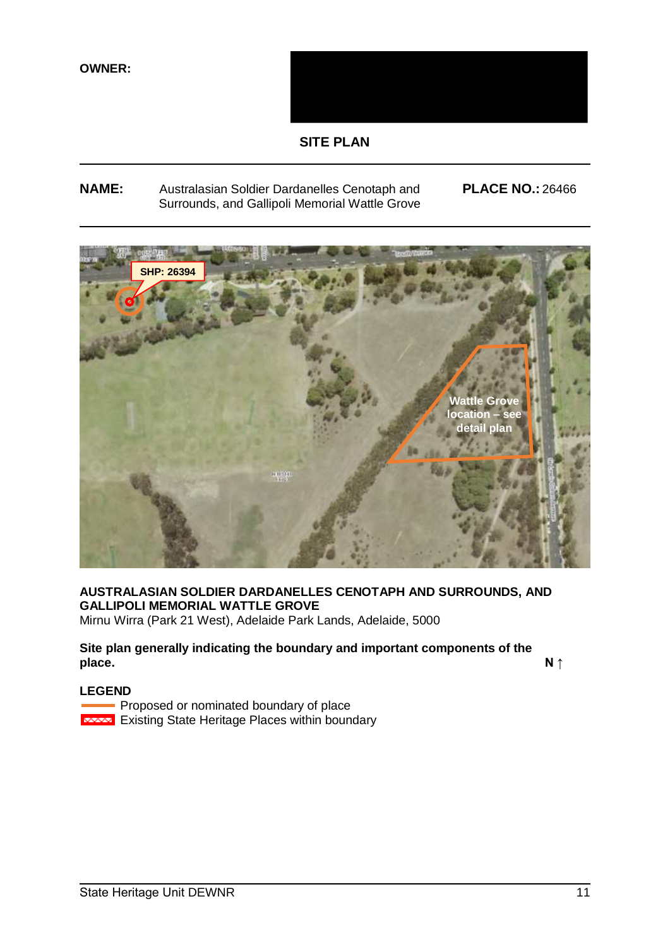

# **SITE PLAN**

# **NAME:** Australasian Soldier Dardanelles Cenotaph and **PLACE NO.:** 26466 Surrounds, and Gallipoli Memorial Wattle Grove

**INSERT SITE PLAN AND (MARKED-UP)** SATELIT **ttle Gro location – see detail plan SHP: 26394**

# **AUSTRALASIAN SOLDIER DARDANELLES CENOTAPH AND SURROUNDS, AND GALLIPOLI MEMORIAL WATTLE GROVE**

Mirnu Wirra (Park 21 West), Adelaide Park Lands, Adelaide, 5000

# **Site plan generally indicating the boundary and important components of the place.** N ↑

### **LEGEND**

Proposed or nominated boundary of place **Existing State Heritage Places within boundary**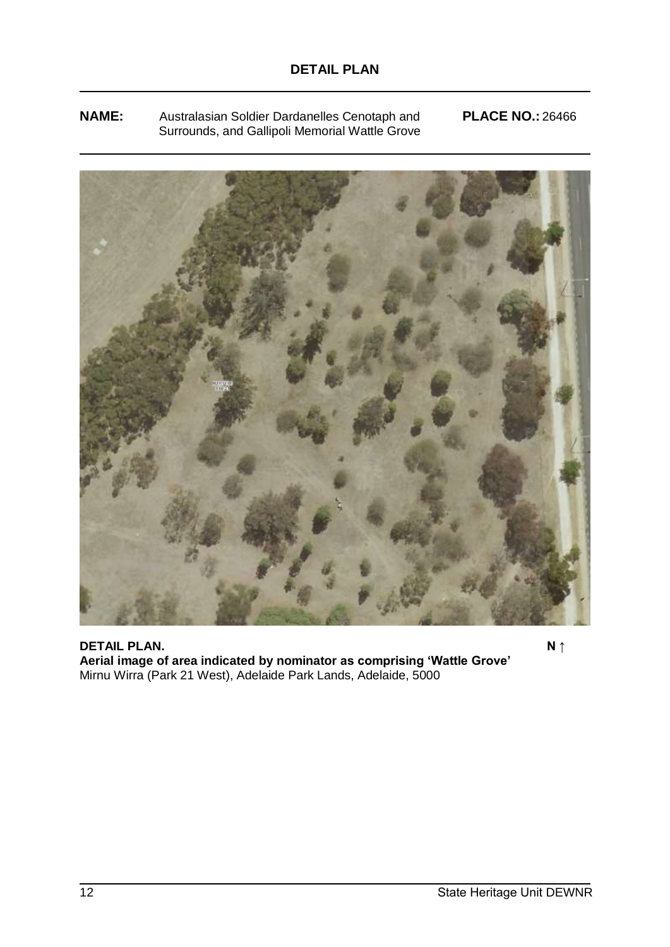**NAME:** Australasian Soldier Dardanelles Cenotaph and **PLACE NO.:** 26466 Surrounds, and Gallipoli Memorial Wattle Grove



**DETAIL PLAN.** N ↑ **Aerial image of area indicated by nominator as comprising 'Wattle Grove'** Mirnu Wirra (Park 21 West), Adelaide Park Lands, Adelaide, 5000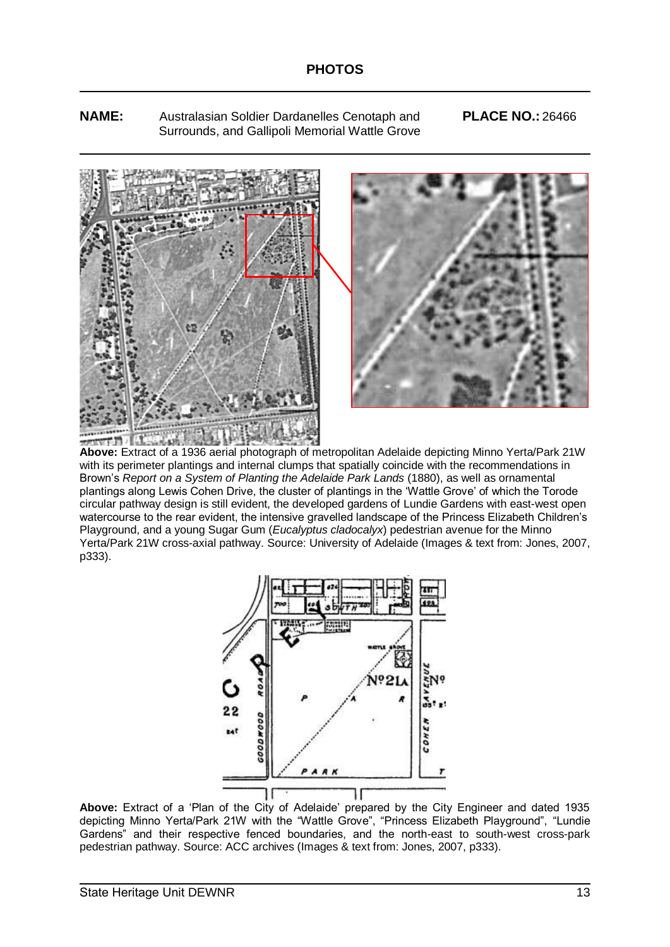**NAME:** Australasian Soldier Dardanelles Cenotaph and **PLACE NO.:** 26466 Surrounds, and Gallipoli Memorial Wattle Grove



**Above:** Extract of a 1936 aerial photograph of metropolitan Adelaide depicting Minno Yerta/Park 21W with its perimeter plantings and internal clumps that spatially coincide with the recommendations in Brown's *Report on a System of Planting the Adelaide Park Lands* (1880), as well as ornamental plantings along Lewis Cohen Drive, the cluster of plantings in the 'Wattle Grove' of which the Torode circular pathway design is still evident, the developed gardens of Lundie Gardens with east-west open watercourse to the rear evident, the intensive gravelled landscape of the Princess Elizabeth Children's Playground, and a young Sugar Gum (*Eucalyptus cladocalyx*) pedestrian avenue for the Minno Yerta/Park 21W cross-axial pathway. Source: University of Adelaide (Images & text from: Jones, 2007, p333).



**Above:** Extract of a 'Plan of the City of Adelaide' prepared by the City Engineer and dated 1935 depicting Minno Yerta/Park 21W with the "Wattle Grove", "Princess Elizabeth Playground", "Lundie Gardens" and their respective fenced boundaries, and the north-east to south-west cross-park pedestrian pathway. Source: ACC archives (Images & text from: Jones, 2007, p333).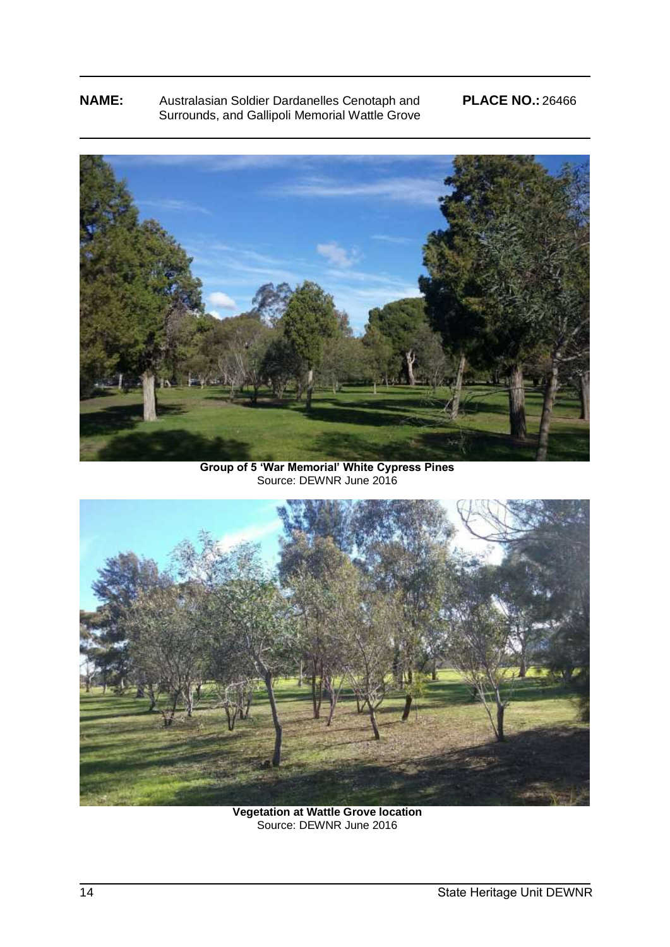# **NAME:** Australasian Soldier Dardanelles Cenotaph and **PLACE NO.:** 26466 Surrounds, and Gallipoli Memorial Wattle Grove



**Group of 5 'War Memorial' White Cypress Pines** Source: DEWNR June 2016



**Vegetation at Wattle Grove location**  Source: DEWNR June 2016